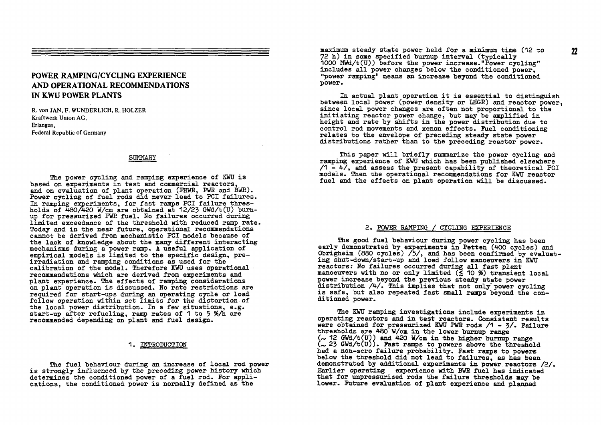## **POWER RAMPING/CYCLING EXPERIENCE AND OPERATIONAL RECOMMENDATIONS IN KWU POWER PLANTS**

R. von IAN, F. WUNDERLICH, R. HOLZER Kraftwerk Union AG, Erlangen, Federal Republic of Germany

## **SUMMARY**

The power cycling and ramping experience of KWU is **based on experiments in test and commercial reactors, and on evaluation of plant operation (EHWR, FWK and BWR). Power cycling of fuel rods did never lead to PCI failures. In ramning experiments, for fast ramps PCI failure thres**holds of 480/420 W/cm are obtained at 12/23 GWd/t(U) burn**up for pressurized PWR fuel. No failures occurred during limited exceedance of the threshold with reduced ramp rate. Today and in the near future, operational recommendations cannot be derived from mechanistic PCI models because of the lack of knowledge about the many different interacting mechanisms during a power ramp. A useful application of empirical models is limited to the specific design, preirradiation and ramping conditions as used for the calibration of the model. Therefore KWU uses operational recommendations which are derived from experiments and plant experience. The effects of ramping considerations on plant operation is discussed. No rate restrictions are required for start-ups during an operating cycle or load follow operation within set limits for the distortion of the local power distribution. In a few situations, e.g. start-up after refueling, ramp rates of 1 to 5 %/h are recommended depending on plant and fuel design.** 

## **1. INTRODUCTION**

**The fuel behaviour during an increase of local rod power is strongly influenced by the preceding power history which determines the conditioned power of a fuel rod. For applications, the conditioned power is normally defined as the** 

maximum steady state power held for a minimum time (12 to **72 h) in some specified burnup interval (typically 1000 MWd/t(U)) before the power increase."Power cycling" includes all power changes below the conditioned power, "power ramping" means an increase beyond the conditioned power.** 

**In actual plant operation it is essential to distinguish between local power (power density or LHGR) and reactor power, since local power changes are often not proportional to the initiating reactor power change, but may be amplified in height and rate by shifts in the power distribution due to control rod movements and xenon effects. Fuel conditioning relates to the envelope of preceding steady state power distributions rather than to the preceding reactor power.** 

**This paper will briefly summarize the power cycling and ramping experience of KWU which has been published elsewhere /1 - 4/, and assess the present capability of theoretical PCI models. Then the operational recommendations for KWU reactor fuel and the effects on plant operation will be discussed.** 

## **2. POWER RAMPING / CYCLING EXPERIENCE**

**The good fuel behaviour during power cycling has been early demonstrated by experiments in Petten (400 cycles) and Obrigheim (880 cycles) /5/, and has been confirmed by evaluating shut-down/start-up and load follow manoeuvers in KWU reactors: No failures occurred during all fast plant manoeuvers with no or only limited (< 10 %) transient local power increase beyond the previous steady state power distribution /4/. This implies that not only" power cycling is safe, but also repeated fast small ramps beyond the conditioned power.** 

**The KWU ramping investigations include experiments in operating reactors and in test reactors. Consistent results were obtained for pressurized KWU FWB rods /1 - 3/. Failure thresholds are 480 W/cm in the lower burnup range 12 GWd/t(U)) and 420 W/cm in the higher burnup range 23 GWd/t(U)). Fast ramps to powers above the threshold had a non-zero failure probability. Fast ramps to powers below the threshold did not lead to failures, as has been demonstrated by additional experiments in power reactors /2/. Earlier operating experience with BWR fuel has indicated that for unpressurized rods the failure thresholds may be lower. Future evaluation of plant experience and planned**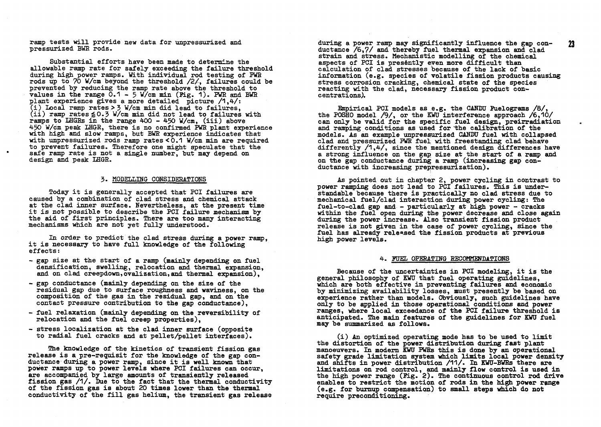**ramp tests will provide new data for unpressurized and pressurized BWR rods.** 

 $\blacksquare$ 

**Substantial efforts have been made to determine the allowable ramp rate for safely exceeding the failure threshold during high power ramps. With individual rod testing of PWB rods up to 70 W/cm beyond the threshold /2/, failures could be prevented by reducing the ramp rate above the threshold to values in the range 0.1 - 5 W/'cm min (Pig. 1). FWR and BWR plant experience gives a more detailed picture /1,4-/: (i) Local ramp rates > 3 W/cm min did lead to failures, (ii) ramp rates é0-3 W/cm min did not lead to failures with ramps to LHGBs in the range 400 - 4-50 W/cm, (iii) above A-50 W/cm peak LHGR, there is no confirmed PWE plant experience with high and slow ramps, but BWB experience indicates that with unpressurized rods ramp rates <0.1 W/cm min are required to prevent failures. Therefore one might speculate that the safe ramp rate is not a single number, but may depend on design and peak LHGR.** 

### **3- MODELLING CONSIDERATIONS**

**Today it is generally accepted that PCI failures are caused by a combination of clad stress and chemical attack at the clad inner surface. Nevertheless, at the present time it is not possible to describe the PCI failure mechanism by the aid of first principles. There are too many interacting mechanisms which are not yet fully understood.** 

**In order to predict the clad stress during a power ramp, it is necessary to have full knowledge of the following effects :** 

- **gap size at the start of a ramp (mainly depending on fuel densification, swelling, relocation and. thermal expansion, and on clad creepdown,ovalization,and thermal expansion),**
- **gap conductance (mainly depending on the size of the residual gap due to surface roughness and waviness, on the composition of the gas in the residual gap, and on the contact pressure contribution to the gap conductance),**
- **fuel relaxation (mainly depending on the reversibility of relocation and the fuel creep properties),**
- **stress localization at the clad inner surface (opposite to radial fuel cracks and at pellet/pellet interfaces).**

**The knowledge of the kinetics of transient fission gas release is a pre-requisit for the knowledge of the gap conductance during a power ramp, since it is well known that power ramps up to power levels where PCI failures can occur, are accompanied by large amounts of transiently released fission gas /1/. Due to the fact that the thermal conductivity of the fission gas is about 20 times lower than the thermal conductivity of the fill gas helium, the transient gas release** 

**during a power ramp may significantly influence the gap conductance /6,7/ and thereby fuel thermal expansion and clad strain and stress. Mechanistic modelling of the chemical aspects of PCI is preséntly even more difficult than calculation of clad stresses because of the lack of basic information (e.g. species of volatile fission products causing stress corrosion cracking, chemical state of the species reacting with the clad, necessary fission product concentrations).** 

**Bnpirical PCI models as e.g. the CANDU Fuelograms /8/, the POSHO model /9/, or the EWU interference approach /6,10/ can only be valid for the specific fuel design, preirradiation and ramping conditions as used for the calibration of the models. As an example unpressurized CANDU fuel with collapsed clad and pressurized PWB fuel with freestanding clad behave differently /1,4/, since the mentioned design differences have a strong influence on the gap size at the start of a ramp on the gap conductance during a ramp (increasing gap conductance with increasing prepressurization).** 

**As pointed out in chapter 2, power cycling in contrast to power ramping does not lead to PCI failures. This is understandable because there is practically no clad stress due to mechanical fuel/clad interaction during power cycling: The fuel-to-clad gap and - particularly at high power - cracks within the fuel open during the power decrease and close again during the power increase. Also transient fission product release is not given in the case of power cycling, since the fuel has already released the fission products at previous high power levels.** 

### **4. FUEL OPERATING BEOOMMEffDATIONS**

**Because of the uncertainties in PCI modeling, it is the general philosophy of KWU that fuel operating guidelines, which are both effective in preventing failures and economic by minimizing availability losses, must presently be based on experience rather than models. Obviously, such guidelines have only to be applied in those operational conditions and power ranges, where local exceedance of the PCI failure threshold is anticipated. The main features of the guidelines for KWU fuel may be summarized as follows.** 

**(i) An optimized operating mode has to be used to limit the distortion of the power distribution during fast plant manoeuvers. In modem EWU PWBs this is done by an operational safety grade limitation system which limits local power density and shifts in power distribution /11/. In EWU-BWEs there are limitations on rod control, and mainly flow control is used in the high power range (Pig. 2). The continuous control rod drive enables to restrict the motion of rods in the high power range (e.g. for burnup compensation) to small steps which do not require preconditioning.** 

23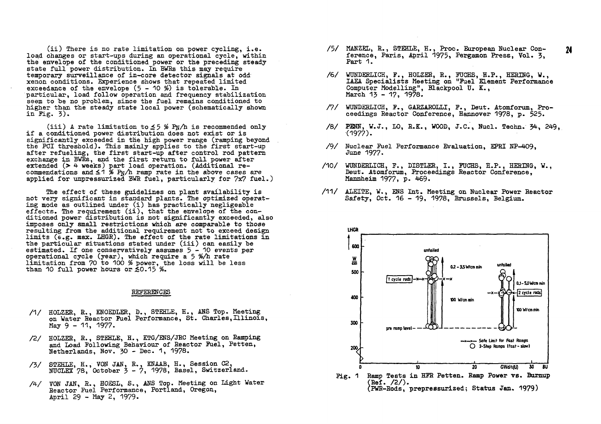**(ii) There is no rate limitation on power cycling, i.e. load changes or start-ups during an operational cycle, within the envelope of the conditioned power or the preceding steady state full power distribution. In BWEs this may require temporary surveillance of in-core detector signals at odd xenon conditions. Experience shows that repeated limited exceedance of the envelope (5 - 10 %) is tolerable. In particular, load follow operation and frequency stabilization seem to be no problem, since the fuel remains conditioned to higher than the steady state local power (schematically shown in Fig. 3).** 

**(iii) A rate limitation to ± 3 % Pti/b is recommended only if a conditioned power distribution does not exist or is significantly exceeded in the high power range (ramping beyond the PCI threshold). This mainly applies to the first start-up after refueling, the first start-up after control rod pattern exchange in BWRs, and the first return to full power after extended (> 4 weeks) part load operation. (Additional re**commendations and  $\leq 1$  % P<sub>N</sub>/h ramp rate in the above cases are **applied for unpressurized BWR fuel, particularly for 7x7 fuel.)** 

**The effect of these guidelines on plant availability is not very significant in standard plants. The optimized operating mode as outlined under (i) has practically négligeable effects. The requirement (ii), that the envelope of the conditioned power distribution is not significantly exceeded, also imposes only small restrictions which are comparable to those resulting from the additional requirement not to exceed design limits (e.g. max. LHGR). The effect of the rate limitations in the particular situations stated under (iii) can easily be estimated. If one conservatively assumes 5-1 0 events per operational cycle (year), which require a 5 %/h rate limitation from 70 to 100 % power, the loss will be less than 10 full power hours or <0.15 %•** 

## **REFERENCES**

- **/1/ HOLZER, R., KNOEDLER, D., STEHLE, H., ANS Top. Meeting on Water Reactor Fuel Performance, St. Charles,Illinois, May 9 - 11, 1977.**
- /2/ HOLZER, R., STEHLE, H., KTG/ENS/JRC Meeting on Ramping **and Load Following Behaviour of Reactor Fuel, Petten, Netherlands, Nov. 30 - Dec. 1, 1978.**
- **/3/ STEHLE, H., VON JAN, R., KNAAB, H., Session C2, NUCLEI 78, October 3-7 , 1978, Basel, Switzerland.**
- **A / TON JAN, R., HOESL, S., ANS Top. Meeting on Light Water Reactor Fuel Performance, Portland, Oregon, Anril 29 - May 2, 1979-**
- **/5/ MANZEL, R., STEHLE, H., Proc. European Nuclear Conference, Paris, April 1975, Pergamon Press, Vol. 3, Part 1.**
- **/6/ WUNDEELICH, F., HOLZER, R., FUCHS, H.P., HERING, W., IAEA Specialists Meeting on "Fuel Element Performance Computer Modelling", Blackpool U. K., March 13 - 17, 1978.**
- **/7/ WUNDERLICH, F., GARZAROLLI, F., Deut. Atomforum, Proceedings Reactor Conference, Hannover 1978, p. 525.**
- **/8/ PIMN, W.J., LO, R.K., WOOD, J.C., Nucl. Techn. 34, 249, (1977).**
- **/9/ Nuclear Fuel Performance Evaluation, EPRI NP-409, June 1977-**
- **/10/ WUNDERLICH, F., DISTLER, I., FUCHS, H.P., HERING, W., Deut. Atomforum, Proceedings Reactor Conference, Mannheim 1977, P- 469.**
- **/11/ ALEITE, W., ENS Int. Meeting on Nuclear Power Reactor Safety, Oct. 16 - 19, 1978, Brussels, Belgium.**